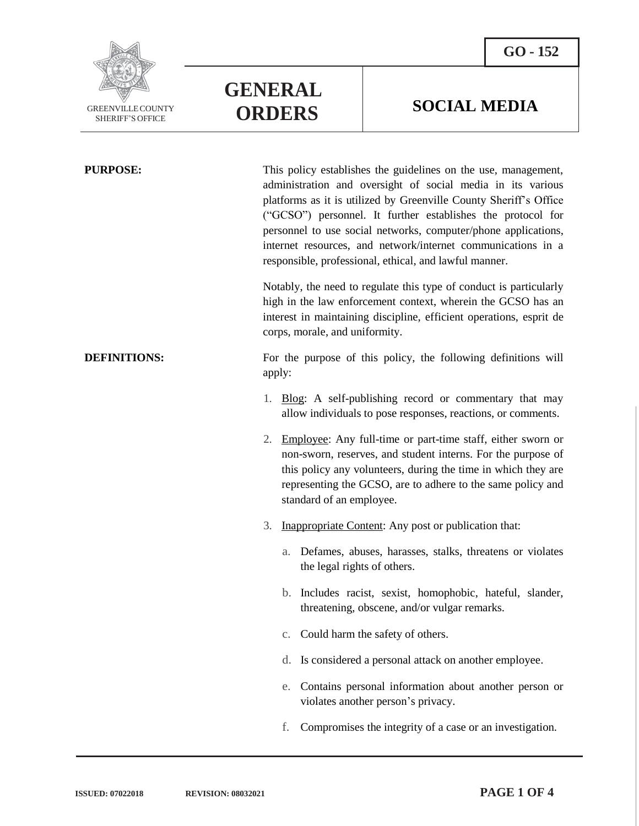



**GENERAL**

**PURPOSE:** This policy establishes the guidelines on the use, management, administration and oversight of social media in its various platforms as it is utilized by Greenville County Sheriff's Office ("GCSO") personnel. It further establishes the protocol for personnel to use social networks, computer/phone applications, internet resources, and network/internet communications in a responsible, professional, ethical, and lawful manner.

**ORDERS SOCIAL MEDIA**

Notably, the need to regulate this type of conduct is particularly high in the law enforcement context, wherein the GCSO has an interest in maintaining discipline, efficient operations, esprit de corps, morale, and uniformity.

**DEFINITIONS:** For the purpose of this policy, the following definitions will apply:

- 1. Blog: A self-publishing record or commentary that may allow individuals to pose responses, reactions, or comments.
- 2. Employee: Any full-time or part-time staff, either sworn or non-sworn, reserves, and student interns. For the purpose of this policy any volunteers, during the time in which they are representing the GCSO, are to adhere to the same policy and standard of an employee.
- 3. Inappropriate Content: Any post or publication that:
	- a. Defames, abuses, harasses, stalks, threatens or violates the legal rights of others.
	- b. Includes racist, sexist, homophobic, hateful, slander, threatening, obscene, and/or vulgar remarks.
	- c. Could harm the safety of others.
	- d. Is considered a personal attack on another employee.
	- e. Contains personal information about another person or violates another person's privacy.
	- f. Compromises the integrity of a case or an investigation.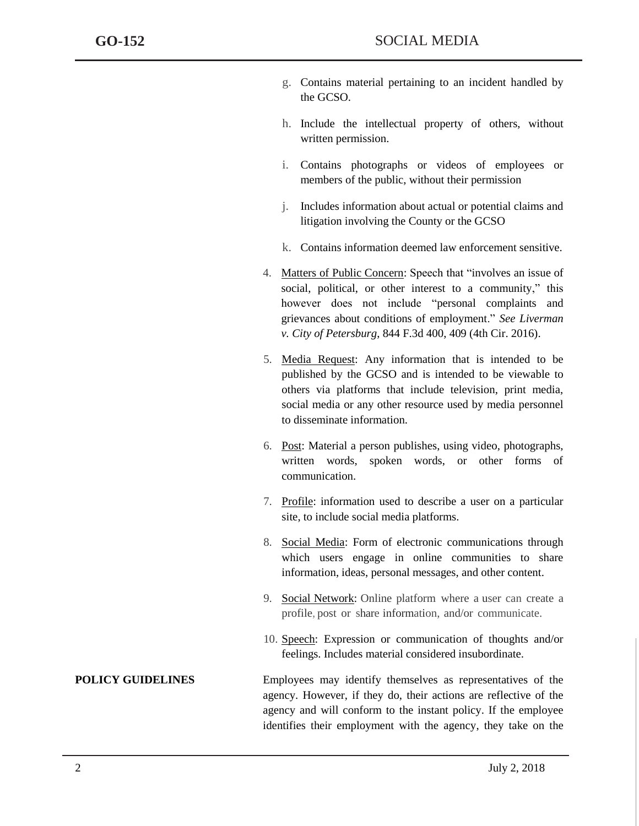- g. Contains material pertaining to an incident handled by the GCSO.
- h. Include the intellectual property of others, without written permission.
- i. Contains photographs or videos of employees or members of the public, without their permission
- j. Includes information about actual or potential claims and litigation involving the County or the GCSO
- k. Contains information deemed law enforcement sensitive.
- 4. Matters of Public Concern: Speech that "involves an issue of social, political, or other interest to a community," this however does not include "personal complaints and grievances about conditions of employment." *See Liverman v. City of Petersburg*, 844 F.3d 400, 409 (4th Cir. 2016).
- 5. Media Request: Any information that is intended to be published by the GCSO and is intended to be viewable to others via platforms that include television, print media, social media or any other resource used by media personnel to disseminate information.
- 6. Post: Material a person publishes, using video, photographs, written words, spoken words, or other forms of communication.
- 7. Profile: information used to describe a user on a particular site, to include social media platforms.
- 8. Social Media: Form of electronic communications through which users engage in online communities to share information, ideas, personal messages, and other content.
- 9. Social Network: Online platform where a user can create a profile, post or share information, and/or communicate.
- 10. Speech: Expression or communication of thoughts and/or feelings. Includes material considered insubordinate.

**POLICY GUIDELINES** Employees may identify themselves as representatives of the agency. However, if they do, their actions are reflective of the agency and will conform to the instant policy. If the employee identifies their employment with the agency, they take on the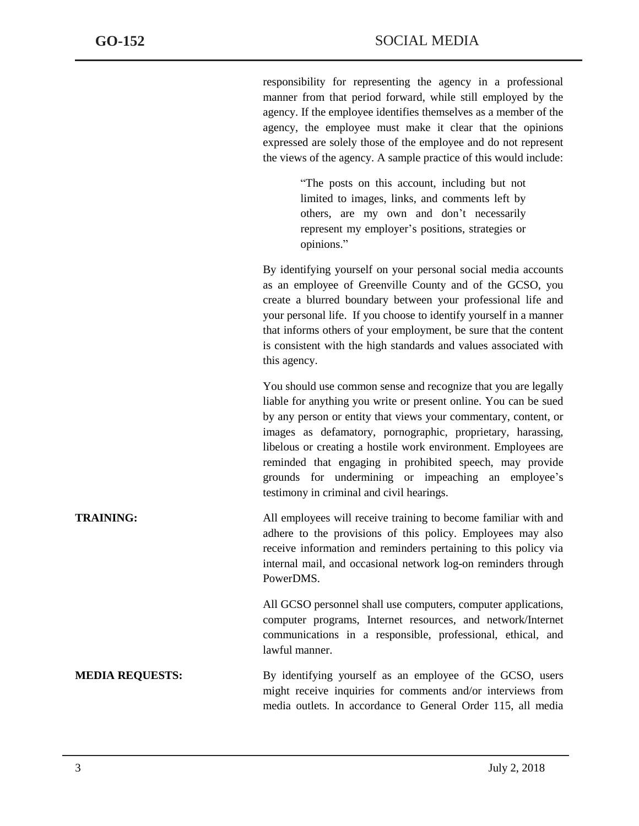responsibility for representing the agency in a professional manner from that period forward, while still employed by the agency. If the employee identifies themselves as a member of the agency, the employee must make it clear that the opinions expressed are solely those of the employee and do not represent the views of the agency. A sample practice of this would include:

> "The posts on this account, including but not limited to images, links, and comments left by others, are my own and don't necessarily represent my employer's positions, strategies or opinions."

By identifying yourself on your personal social media accounts as an employee of Greenville County and of the GCSO, you create a blurred boundary between your professional life and your personal life. If you choose to identify yourself in a manner that informs others of your employment, be sure that the content is consistent with the high standards and values associated with this agency.

You should use common sense and recognize that you are legally liable for anything you write or present online. You can be sued by any person or entity that views your commentary, content, or images as defamatory, pornographic, proprietary, harassing, libelous or creating a hostile work environment. Employees are reminded that engaging in prohibited speech, may provide grounds for undermining or impeaching an employee's testimony in criminal and civil hearings.

**TRAINING:** All employees will receive training to become familiar with and adhere to the provisions of this policy. Employees may also receive information and reminders pertaining to this policy via internal mail, and occasional network log-on reminders through PowerDMS.

> All GCSO personnel shall use computers, computer applications, computer programs, Internet resources, and network/Internet communications in a responsible, professional, ethical, and lawful manner.

**MEDIA REQUESTS:** By identifying yourself as an employee of the GCSO, users might receive inquiries for comments and/or interviews from media outlets. In accordance to General Order 115, all media